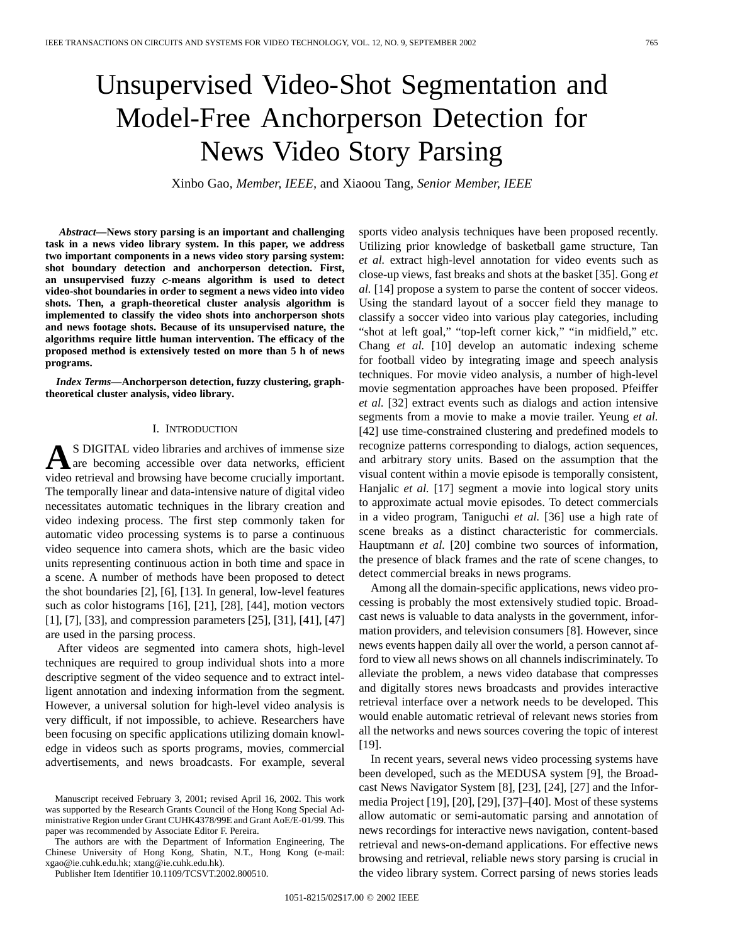# Unsupervised Video-Shot Segmentation and Model-Free Anchorperson Detection for News Video Story Parsing

Xinbo Gao*, Member, IEEE,* and Xiaoou Tang*, Senior Member, IEEE*

*Abstract—***News story parsing is an important and challenging task in a news video library system. In this paper, we address two important components in a news video story parsing system: shot boundary detection and anchorperson detection. First,** an unsupervised fuzzy *c*-means algorithm is used to detect **video-shot boundaries in order to segment a news video into video shots. Then, a graph-theoretical cluster analysis algorithm is implemented to classify the video shots into anchorperson shots and news footage shots. Because of its unsupervised nature, the algorithms require little human intervention. The efficacy of the proposed method is extensively tested on more than 5 h of news programs.**

*Index Terms—***Anchorperson detection, fuzzy clustering, graphtheoretical cluster analysis, video library.**

#### I. INTRODUCTION

**A**S DIGITAL video libraries and archives of immense size<br>are becoming accessible over data networks, efficient<br>wideo astribute and because heave heaven empirelly important video retrieval and browsing have become crucially important. The temporally linear and data-intensive nature of digital video necessitates automatic techniques in the library creation and video indexing process. The first step commonly taken for automatic video processing systems is to parse a continuous video sequence into camera shots, which are the basic video units representing continuous action in both time and space in a scene. A number of methods have been proposed to detect the shot boundaries [2], [6], [13]. In general, low-level features such as color histograms [16], [21], [28], [44], motion vectors [1], [7], [33], and compression parameters [25], [31], [41], [47] are used in the parsing process.

After videos are segmented into camera shots, high-level techniques are required to group individual shots into a more descriptive segment of the video sequence and to extract intelligent annotation and indexing information from the segment. However, a universal solution for high-level video analysis is very difficult, if not impossible, to achieve. Researchers have been focusing on specific applications utilizing domain knowledge in videos such as sports programs, movies, commercial advertisements, and news broadcasts. For example, several

The authors are with the Department of Information Engineering, The Chinese University of Hong Kong, Shatin, N.T., Hong Kong (e-mail: xgao@ie.cuhk.edu.hk; xtang@ie.cuhk.edu.hk).

Publisher Item Identifier 10.1109/TCSVT.2002.800510.

sports video analysis techniques have been proposed recently. Utilizing prior knowledge of basketball game structure, Tan *et al.* extract high-level annotation for video events such as close-up views, fast breaks and shots at the basket [35]. Gong *et al.* [14] propose a system to parse the content of soccer videos. Using the standard layout of a soccer field they manage to classify a soccer video into various play categories, including "shot at left goal," "top-left corner kick," "in midfield," etc. Chang *et al.* [10] develop an automatic indexing scheme for football video by integrating image and speech analysis techniques. For movie video analysis, a number of high-level movie segmentation approaches have been proposed. Pfeiffer *et al.* [32] extract events such as dialogs and action intensive segments from a movie to make a movie trailer. Yeung *et al.* [42] use time-constrained clustering and predefined models to recognize patterns corresponding to dialogs, action sequences, and arbitrary story units. Based on the assumption that the visual content within a movie episode is temporally consistent, Hanjalic *et al.* [17] segment a movie into logical story units to approximate actual movie episodes. To detect commercials in a video program, Taniguchi *et al.* [36] use a high rate of scene breaks as a distinct characteristic for commercials. Hauptmann *et al.* [20] combine two sources of information, the presence of black frames and the rate of scene changes, to detect commercial breaks in news programs.

Among all the domain-specific applications, news video processing is probably the most extensively studied topic. Broadcast news is valuable to data analysts in the government, information providers, and television consumers [8]. However, since news events happen daily all over the world, a person cannot afford to view all news shows on all channels indiscriminately. To alleviate the problem, a news video database that compresses and digitally stores news broadcasts and provides interactive retrieval interface over a network needs to be developed. This would enable automatic retrieval of relevant news stories from all the networks and news sources covering the topic of interest [19].

In recent years, several news video processing systems have been developed, such as the MEDUSA system [9], the Broadcast News Navigator System [8], [23], [24], [27] and the Informedia Project [19], [20], [29], [37]–[40]. Most of these systems allow automatic or semi-automatic parsing and annotation of news recordings for interactive news navigation, content-based retrieval and news-on-demand applications. For effective news browsing and retrieval, reliable news story parsing is crucial in the video library system. Correct parsing of news stories leads

Manuscript received February 3, 2001; revised April 16, 2002. This work was supported by the Research Grants Council of the Hong Kong Special Administrative Region under Grant CUHK4378/99E and Grant AoE/E-01/99. This paper was recommended by Associate Editor F. Pereira.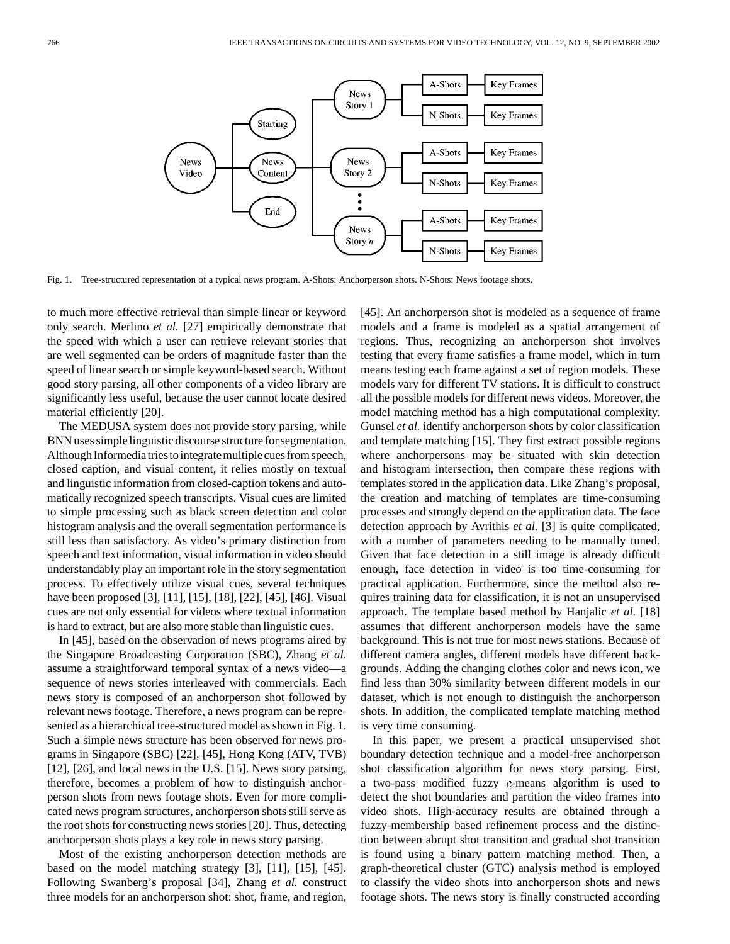

Fig. 1. Tree-structured representation of a typical news program. A-Shots: Anchorperson shots. N-Shots: News footage shots.

to much more effective retrieval than simple linear or keyword only search. Merlino *et al.* [27] empirically demonstrate that the speed with which a user can retrieve relevant stories that are well segmented can be orders of magnitude faster than the speed of linear search or simple keyword-based search. Without good story parsing, all other components of a video library are significantly less useful, because the user cannot locate desired material efficiently [20].

The MEDUSA system does not provide story parsing, while BNN uses simple linguistic discourse structure for segmentation. Although Informediatries to integrate multiple cues from speech, closed caption, and visual content, it relies mostly on textual and linguistic information from closed-caption tokens and automatically recognized speech transcripts. Visual cues are limited to simple processing such as black screen detection and color histogram analysis and the overall segmentation performance is still less than satisfactory. As video's primary distinction from speech and text information, visual information in video should understandably play an important role in the story segmentation process. To effectively utilize visual cues, several techniques have been proposed [3], [11], [15], [18], [22], [45], [46]. Visual cues are not only essential for videos where textual information is hard to extract, but are also more stable than linguistic cues.

In [45], based on the observation of news programs aired by the Singapore Broadcasting Corporation (SBC), Zhang *et al.* assume a straightforward temporal syntax of a news video—a sequence of news stories interleaved with commercials. Each news story is composed of an anchorperson shot followed by relevant news footage. Therefore, a news program can be represented as a hierarchical tree-structured model as shown in Fig. 1. Such a simple news structure has been observed for news programs in Singapore (SBC) [22], [45], Hong Kong (ATV, TVB) [12], [26], and local news in the U.S. [15]. News story parsing, therefore, becomes a problem of how to distinguish anchorperson shots from news footage shots. Even for more complicated news program structures, anchorperson shots still serve as the root shots for constructing news stories [20]. Thus, detecting anchorperson shots plays a key role in news story parsing.

Most of the existing anchorperson detection methods are based on the model matching strategy [3], [11], [15], [45]. Following Swanberg's proposal [34], Zhang *et al.* construct three models for an anchorperson shot: shot, frame, and region, [45]. An anchorperson shot is modeled as a sequence of frame models and a frame is modeled as a spatial arrangement of regions. Thus, recognizing an anchorperson shot involves testing that every frame satisfies a frame model, which in turn means testing each frame against a set of region models. These models vary for different TV stations. It is difficult to construct all the possible models for different news videos. Moreover, the model matching method has a high computational complexity. Gunsel *et al.* identify anchorperson shots by color classification and template matching [15]. They first extract possible regions where anchorpersons may be situated with skin detection and histogram intersection, then compare these regions with templates stored in the application data. Like Zhang's proposal, the creation and matching of templates are time-consuming processes and strongly depend on the application data. The face detection approach by Avrithis *et al.* [3] is quite complicated, with a number of parameters needing to be manually tuned. Given that face detection in a still image is already difficult enough, face detection in video is too time-consuming for practical application. Furthermore, since the method also requires training data for classification, it is not an unsupervised approach. The template based method by Hanjalic *et al.* [18] assumes that different anchorperson models have the same background. This is not true for most news stations. Because of different camera angles, different models have different backgrounds. Adding the changing clothes color and news icon, we find less than 30% similarity between different models in our dataset, which is not enough to distinguish the anchorperson shots. In addition, the complicated template matching method is very time consuming.

In this paper, we present a practical unsupervised shot boundary detection technique and a model-free anchorperson shot classification algorithm for news story parsing. First, a two-pass modified fuzzy  $c$ -means algorithm is used to detect the shot boundaries and partition the video frames into video shots. High-accuracy results are obtained through a fuzzy-membership based refinement process and the distinction between abrupt shot transition and gradual shot transition is found using a binary pattern matching method. Then, a graph-theoretical cluster (GTC) analysis method is employed to classify the video shots into anchorperson shots and news footage shots. The news story is finally constructed according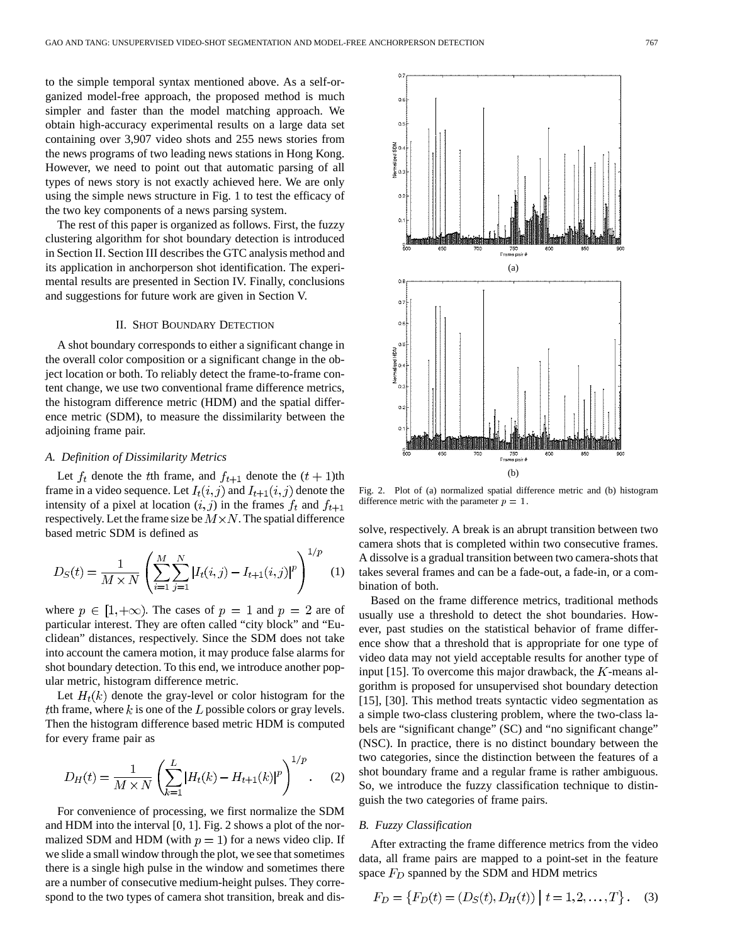to the simple temporal syntax mentioned above. As a self-organized model-free approach, the proposed method is much simpler and faster than the model matching approach. We obtain high-accuracy experimental results on a large data set containing over 3,907 video shots and 255 news stories from the news programs of two leading news stations in Hong Kong. However, we need to point out that automatic parsing of all types of news story is not exactly achieved here. We are only using the simple news structure in Fig. 1 to test the efficacy of the two key components of a news parsing system.

The rest of this paper is organized as follows. First, the fuzzy clustering algorithm for shot boundary detection is introduced in Section II. Section III describes the GTC analysis method and its application in anchorperson shot identification. The experimental results are presented in Section IV. Finally, conclusions and suggestions for future work are given in Section V.

#### II. SHOT BOUNDARY DETECTION

A shot boundary corresponds to either a significant change in the overall color composition or a significant change in the object location or both. To reliably detect the frame-to-frame content change, we use two conventional frame difference metrics, the histogram difference metric (HDM) and the spatial difference metric (SDM), to measure the dissimilarity between the adjoining frame pair.

#### *A. Definition of Dissimilarity Metrics*

Let  $f_t$  denote the the frame, and  $f_{t+1}$  denote the  $(t + 1)$ th frame in a video sequence. Let  $I_t(i, j)$  and  $I_{t+1}(i, j)$  denote the intensity of a pixel at location  $(i, j)$  in the frames  $f_t$  and  $f_{t+1}$ respectively. Let the frame size be  $M \times N$ . The spatial difference based metric SDM is defined as

$$
D_S(t) = \frac{1}{M \times N} \left( \sum_{i=1}^{M} \sum_{j=1}^{N} |I_t(i,j) - I_{t+1}(i,j)|^p \right)^{1/p} (1)
$$

where  $p \in [1, +\infty)$ . The cases of  $p = 1$  and  $p = 2$  are of particular interest. They are often called "city block" and "Euclidean" distances, respectively. Since the SDM does not take into account the camera motion, it may produce false alarms for shot boundary detection. To this end, we introduce another popular metric, histogram difference metric.

Let  $H_t(k)$  denote the gray-level or color histogram for the th frame, where  $k$  is one of the  $L$  possible colors or gray levels. Then the histogram difference based metric HDM is computed for every frame pair as

$$
D_H(t) = \frac{1}{M \times N} \left( \sum_{k=1}^{L} |H_t(k) - H_{t+1}(k)|^p \right)^{1/p}.
$$
 (2)

For convenience of processing, we first normalize the SDM and HDM into the interval [0, 1]. Fig. 2 shows a plot of the normalized SDM and HDM (with  $p = 1$ ) for a news video clip. If we slide a small window through the plot, we see that sometimes there is a single high pulse in the window and sometimes there are a number of consecutive medium-height pulses. They correspond to the two types of camera shot transition, break and dis-



Fig. 2. Plot of (a) normalized spatial difference metric and (b) histogram difference metric with the parameter  $p = 1$ .

solve, respectively. A break is an abrupt transition between two camera shots that is completed within two consecutive frames. A dissolve is a gradual transition between two camera-shots that takes several frames and can be a fade-out, a fade-in, or a combination of both.

Based on the frame difference metrics, traditional methods usually use a threshold to detect the shot boundaries. However, past studies on the statistical behavior of frame difference show that a threshold that is appropriate for one type of video data may not yield acceptable results for another type of input [15]. To overcome this major drawback, the  $K$ -means algorithm is proposed for unsupervised shot boundary detection [15], [30]. This method treats syntactic video segmentation as a simple two-class clustering problem, where the two-class labels are "significant change" (SC) and "no significant change" (NSC). In practice, there is no distinct boundary between the two categories, since the distinction between the features of a shot boundary frame and a regular frame is rather ambiguous. So, we introduce the fuzzy classification technique to distinguish the two categories of frame pairs.

## *B. Fuzzy Classification*

After extracting the frame difference metrics from the video data, all frame pairs are mapped to a point-set in the feature space  $F_D$  spanned by the SDM and HDM metrics

$$
F_D = \{ F_D(t) = (D_S(t), D_H(t)) \mid t = 1, 2, \dots, T \}.
$$
 (3)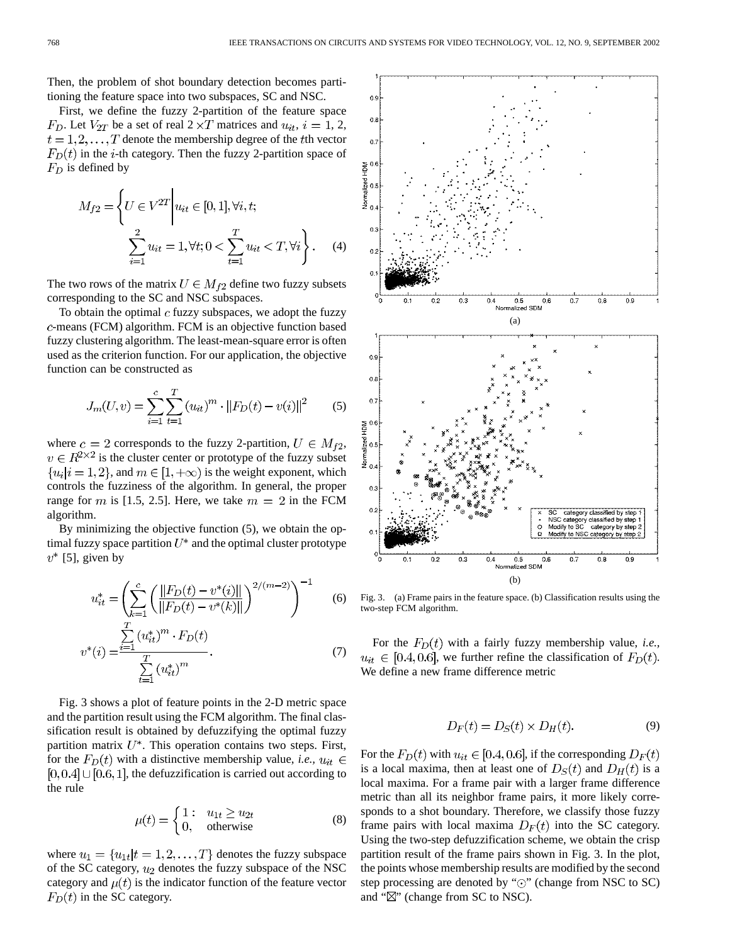Then, the problem of shot boundary detection becomes partitioning the feature space into two subspaces, SC and NSC.

First, we define the fuzzy 2-partition of the feature space  $F_D$ . Let  $V_{2T}$  be a set of real  $2 \times T$  matrices and  $u_{it}$ ,  $i = 1, 2$ ,  $t = 1, 2, \dots, T$  denote the membership degree of the the vector  $F<sub>D</sub>(t)$  in the *i*-th category. Then the fuzzy 2-partition space of  $F_D$  is defined by

$$
M_{f2} = \left\{ U \in V^{2T} \middle| u_{it} \in [0,1], \forall i, t; \right\}
$$

$$
\sum_{i=1}^{2} u_{it} = 1, \forall t; 0 < \sum_{t=1}^{T} u_{it} < T, \forall i \right\}.
$$
 (4)

The two rows of the matrix  $U \in M_{f2}$  define two fuzzy subsets corresponding to the SC and NSC subspaces.

To obtain the optimal  $c$  fuzzy subspaces, we adopt the fuzzy -means (FCM) algorithm. FCM is an objective function based fuzzy clustering algorithm. The least-mean-square error is often used as the criterion function. For our application, the objective function can be constructed as

$$
J_m(U, v) = \sum_{i=1}^{c} \sum_{t=1}^{T} (u_{it})^m \cdot ||F_D(t) - v(i)||^2
$$
 (5)

where  $c = 2$  corresponds to the fuzzy 2-partition,  $U \in M_{f2}$ ,  $v \in R^{2 \times 2}$  is the cluster center or prototype of the fuzzy subset  $\{u_i|i=1,2\}$ , and  $m \in [1,+\infty)$  is the weight exponent, which controls the fuzziness of the algorithm. In general, the proper range for m is [1.5, 2.5]. Here, we take  $m = 2$  in the FCM algorithm.

By minimizing the objective function (5), we obtain the optimal fuzzy space partition  $U^*$  and the optimal cluster prototype  $v^*$  [5], given by

$$
u_{it}^* = \left(\sum_{k=1}^c \left(\frac{\|F_D(t) - v^*(i)\|}{\|F_D(t) - v^*(k)\|}\right)^{2/(m-2)}\right)^{-1}
$$
(6)

$$
v^*(i) = \frac{\sum\limits_{i=1}^{N} (u_{it}^*)^{m} \cdot F_D(t)}{\sum\limits_{t=1}^{T} (u_{it}^*)^{m}}.
$$
\n(7)

Fig. 3 shows a plot of feature points in the 2-D metric space and the partition result using the FCM algorithm. The final classification result is obtained by defuzzifying the optimal fuzzy partition matrix  $U^*$ . This operation contains two steps. First, for the  $F_D(t)$  with a distinctive membership value, *i.e.*,  $u_{it} \in$  $[0, 0.4]$   $\cup$   $[0.6, 1]$ , the defuzzification is carried out according to the rule

$$
\mu(t) = \begin{cases} 1: & u_{1t} \ge u_{2t} \\ 0, & \text{otherwise} \end{cases}
$$
 (8)

where  $u_1 = \{u_{1t} | t = 1, 2, ..., T\}$  denotes the fuzzy subspace of the SC category,  $u_2$  denotes the fuzzy subspace of the NSC category and  $\mu(t)$  is the indicator function of the feature vector  $F_D(t)$  in the SC category.



Fig. 3. (a) Frame pairs in the feature space. (b) Classification results using the two-step FCM algorithm.

For the  $F_D(t)$  with a fairly fuzzy membership value, *i.e.*,  $u_{it} \in [0.4, 0.6]$ , we further refine the classification of  $F_D(t)$ . We define a new frame difference metric

$$
D_F(t) = D_S(t) \times D_H(t). \tag{9}
$$

For the  $F_D(t)$  with  $u_{it} \in [0.4, 0.6]$ , if the corresponding  $D_F(t)$ is a local maxima, then at least one of  $D<sub>S</sub>(t)$  and  $D<sub>H</sub>(t)$  is a local maxima. For a frame pair with a larger frame difference metric than all its neighbor frame pairs, it more likely corresponds to a shot boundary. Therefore, we classify those fuzzy frame pairs with local maxima  $D_F(t)$  into the SC category. Using the two-step defuzzification scheme, we obtain the crisp partition result of the frame pairs shown in Fig. 3. In the plot, the points whose membership results are modified by the second step processing are denoted by " $\odot$ " (change from NSC to SC) and " $\mathbb{Z}$ " (change from SC to NSC).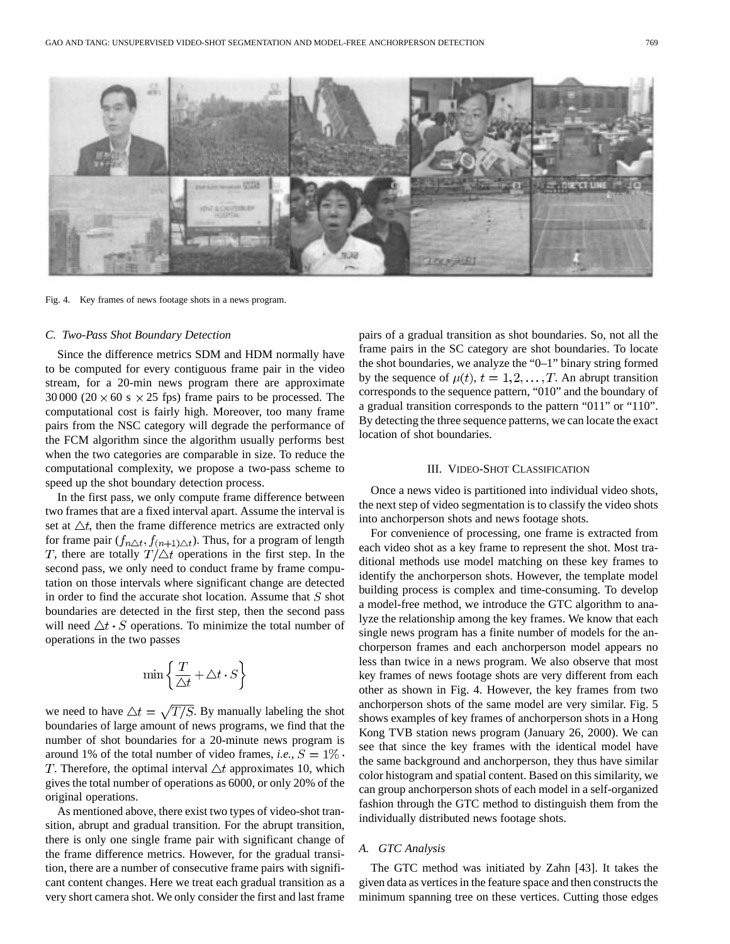

Fig. 4. Key frames of news footage shots in a news program.

# *C. Two-Pass Shot Boundary Detection*

Since the difference metrics SDM and HDM normally have to be computed for every contiguous frame pair in the video stream, for a 20-min news program there are approximate 30 000 (20  $\times$  60 s  $\times$  25 fps) frame pairs to be processed. The computational cost is fairly high. Moreover, too many frame pairs from the NSC category will degrade the performance of the FCM algorithm since the algorithm usually performs best when the two categories are comparable in size. To reduce the computational complexity, we propose a two-pass scheme to speed up the shot boundary detection process.

In the first pass, we only compute frame difference between two frames that are a fixed interval apart. Assume the interval is set at  $\Delta t$ , then the frame difference metrics are extracted only for frame pair  $(f_{n\Delta t}, f_{(n+1)\Delta t})$ . Thus, for a program of length T, there are totally  $T/\triangle t$  operations in the first step. In the second pass, we only need to conduct frame by frame computation on those intervals where significant change are detected in order to find the accurate shot location. Assume that  $S$  shot boundaries are detected in the first step, then the second pass will need  $\Delta t \cdot S$  operations. To minimize the total number of operations in the two passes

$$
\min\left\{\frac{T}{\triangle t}+\triangle t\cdot S\right\}
$$

we need to have  $\Delta t = \sqrt{T/S}$ . By manually labeling the shot boundaries of large amount of news programs, we find that the number of shot boundaries for a 20-minute news program is around 1% of the total number of video frames, *i.e.*,  $S = 1\%$ . T. Therefore, the optimal interval  $\triangle t$  approximates 10, which gives the total number of operations as 6000, or only 20% of the original operations.

As mentioned above, there exist two types of video-shot transition, abrupt and gradual transition. For the abrupt transition, there is only one single frame pair with significant change of the frame difference metrics. However, for the gradual transition, there are a number of consecutive frame pairs with significant content changes. Here we treat each gradual transition as a very short camera shot. We only consider the first and last frame pairs of a gradual transition as shot boundaries. So, not all the frame pairs in the SC category are shot boundaries. To locate the shot boundaries, we analyze the "0–1" binary string formed by the sequence of  $\mu(t)$ ,  $t = 1, 2, ..., T$ . An abrupt transition corresponds to the sequence pattern, "010" and the boundary of a gradual transition corresponds to the pattern "011" or "110". By detecting the three sequence patterns, we can locate the exact location of shot boundaries.

## III. VIDEO-SHOT CLASSIFICATION

Once a news video is partitioned into individual video shots, the next step of video segmentation is to classify the video shots into anchorperson shots and news footage shots.

For convenience of processing, one frame is extracted from each video shot as a key frame to represent the shot. Most traditional methods use model matching on these key frames to identify the anchorperson shots. However, the template model building process is complex and time-consuming. To develop a model-free method, we introduce the GTC algorithm to analyze the relationship among the key frames. We know that each single news program has a finite number of models for the anchorperson frames and each anchorperson model appears no less than twice in a news program. We also observe that most key frames of news footage shots are very different from each other as shown in Fig. 4. However, the key frames from two anchorperson shots of the same model are very similar. Fig. 5 shows examples of key frames of anchorperson shots in a Hong Kong TVB station news program (January 26, 2000). We can see that since the key frames with the identical model have the same background and anchorperson, they thus have similar color histogram and spatial content. Based on this similarity, we can group anchorperson shots of each model in a self-organized fashion through the GTC method to distinguish them from the individually distributed news footage shots.

# *A. GTC Analysis*

The GTC method was initiated by Zahn [43]. It takes the given data as vertices in the feature space and then constructs the minimum spanning tree on these vertices. Cutting those edges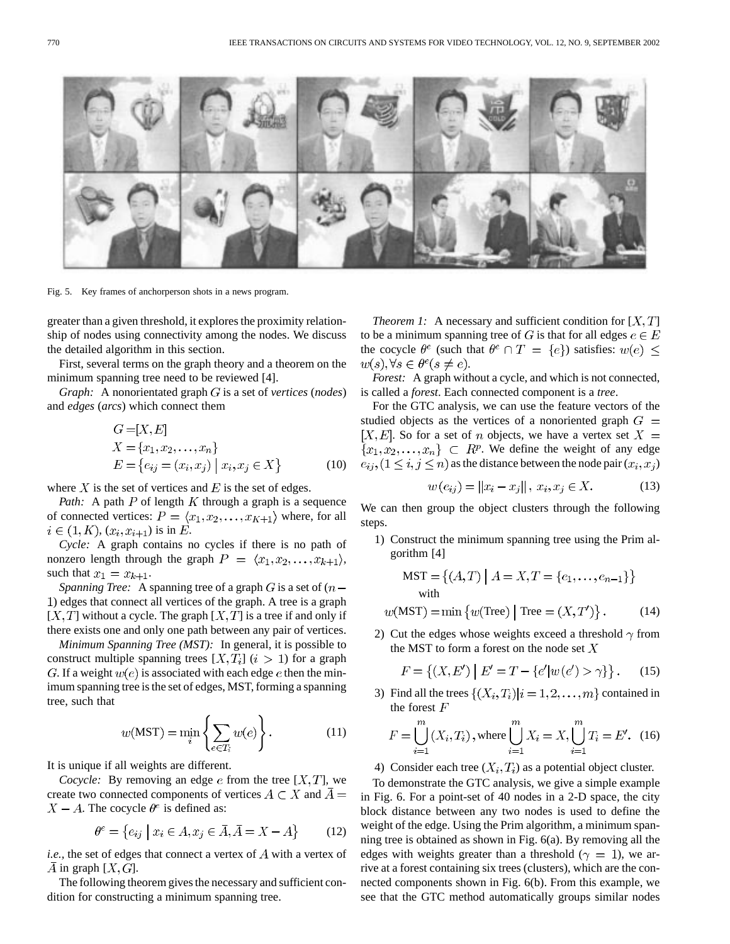

Fig. 5. Key frames of anchorperson shots in a news program.

greater than a given threshold, it explores the proximity relationship of nodes using connectivity among the nodes. We discuss the detailed algorithm in this section.

First, several terms on the graph theory and a theorem on the minimum spanning tree need to be reviewed [4].

*Graph:* A nonorientated graph *G* is a set of *vertices* (*nodes*) and *edges* (*arcs*) which connect them

$$
G = [X, E]
$$
  
\n
$$
X = \{x_1, x_2, ..., x_n\}
$$
  
\n
$$
E = \{e_{ij} = (x_i, x_j) \mid x_i, x_j \in X\}
$$
 (10)

where  $X$  is the set of vertices and  $E$  is the set of edges.

*Path:* A path  $P$  of length  $K$  through a graph is a sequence of connected vertices:  $P = \langle x_1, x_2, \dots, x_{K+1} \rangle$  where, for all  $i \in (1, K), (x_i, x_{i+1})$  is in E.

*Cycle:* A graph contains no cycles if there is no path of nonzero length through the graph  $P = \langle x_1, x_2, \dots, x_{k+1} \rangle$ , such that  $x_1 = x_{k+1}$ .

*Spanning Tree:* A spanning tree of a graph  $G$  is a set of  $(n -$ ) edges that connect all vertices of the graph. A tree is a graph  $[X, T]$  without a cycle. The graph  $[X, T]$  is a tree if and only if there exists one and only one path between any pair of vertices.

*Minimum Spanning Tree (MST):* In general, it is possible to construct multiple spanning trees  $[X, T_i]$   $(i > 1)$  for a graph G. If a weight  $w(e)$  is associated with each edge e then the minimum spanning tree is the set of edges, MST, forming a spanning tree, such that

$$
w(MST) = \min_{i} \left\{ \sum_{e \in T_i} w(e) \right\}.
$$
 (11)

It is unique if all weights are different.

*Cocycle:* By removing an edge  $e$  from the tree  $[X, T]$ , we create two connected components of vertices  $A \subset X$  and  $\overline{A} =$  $X - A$ . The cocycle  $\theta^e$  is defined as:

$$
\theta^e = \{e_{ij} \mid x_i \in A, x_j \in \bar{A}, \bar{A} = X - A\}
$$
 (12)

*i.e.*, the set of edges that connect a vertex of  $\tilde{A}$  with a vertex of A in graph  $[X, G]$ .

The following theorem gives the necessary and sufficient condition for constructing a minimum spanning tree.

*Theorem 1:* A necessary and sufficient condition for  $[X, T]$ to be a minimum spanning tree of G is that for all edges  $e \in E$ the cocycle  $\theta^e$  (such that  $\theta^e \cap T = \{e\}$ ) satisfies:  $w(e) \leq$  $w(s), \forall s \in \theta^e (s \neq e).$ 

*Forest:* A graph without a cycle, and which is not connected, is called a *forest*. Each connected component is a *tree*.

For the GTC analysis, we can use the feature vectors of the studied objects as the vertices of a nonoriented graph  $G =$ [X, E]. So for a set of n objects, we have a vertex set  $X =$  ${x_1, x_2, \ldots, x_n} \subset R^p$ . We define the weight of any edge  $e_{ij}$ ,  $(1 \le i, j \le n)$  as the distance between the node pair  $(x_i, x_j)$ 

$$
w(e_{ij}) = ||x_i - x_j||, \ x_i, x_j \in X.
$$
 (13)

We can then group the object clusters through the following steps.

1) Construct the minimum spanning tree using the Prim algorithm [4]

$$
MST = \{(A, T) | A = X, T = \{e_1, \dots, e_{n-1}\}\}\
$$
  
with

$$
w(MST) = \min \{ w(Tree) | Tree = (X, T') \}.
$$
 (14)

2) Cut the edges whose weights exceed a threshold  $\gamma$  from the MST to form a forest on the node set  $X$ 

$$
F = \{(X, E') \mid E' = T - \{e'|w(e') > \gamma\}\}.
$$
 (15)

3) Find all the trees  $\{(X_i, T_i)|i = 1, 2, \ldots, m\}$  contained in the forest  $F$ 

$$
F = \bigcup_{i=1}^{m} (X_i, T_i), \text{ where } \bigcup_{i=1}^{m} X_i = X, \bigcup_{i=1}^{m} T_i = E'. \tag{16}
$$

4) Consider each tree  $(X_i, T_i)$  as a potential object cluster.

To demonstrate the GTC analysis, we give a simple example in Fig. 6. For a point-set of 40 nodes in a 2-D space, the city block distance between any two nodes is used to define the weight of the edge. Using the Prim algorithm, a minimum spanning tree is obtained as shown in Fig. 6(a). By removing all the edges with weights greater than a threshold ( $\gamma = 1$ ), we arrive at a forest containing six trees (clusters), which are the connected components shown in Fig. 6(b). From this example, we see that the GTC method automatically groups similar nodes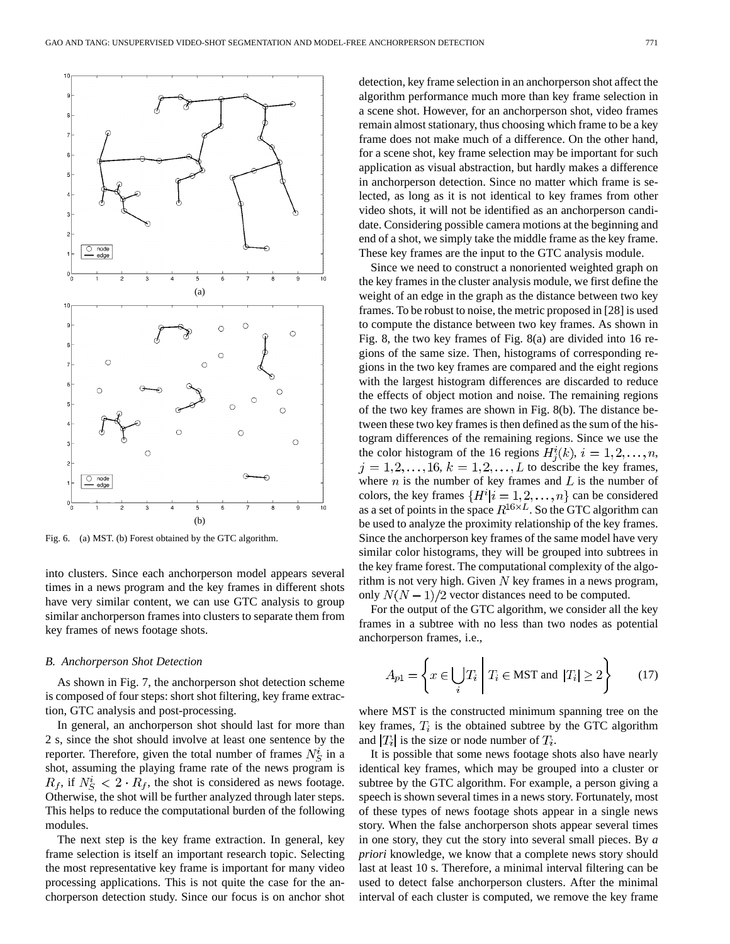

Fig. 6. (a) MST. (b) Forest obtained by the GTC algorithm.

into clusters. Since each anchorperson model appears several times in a news program and the key frames in different shots have very similar content, we can use GTC analysis to group similar anchorperson frames into clusters to separate them from key frames of news footage shots.

#### *B. Anchorperson Shot Detection*

As shown in Fig. 7, the anchorperson shot detection scheme is composed of four steps: short shot filtering, key frame extraction, GTC analysis and post-processing.

In general, an anchorperson shot should last for more than 2 s, since the shot should involve at least one sentence by the reporter. Therefore, given the total number of frames  $N_S^i$  in a shot, assuming the playing frame rate of the news program is  $R_f$ , if  $N_S^i < 2 \cdot R_f$ , the shot is considered as news footage. Otherwise, the shot will be further analyzed through later steps. This helps to reduce the computational burden of the following modules.

The next step is the key frame extraction. In general, key frame selection is itself an important research topic. Selecting the most representative key frame is important for many video processing applications. This is not quite the case for the anchorperson detection study. Since our focus is on anchor shot detection, key frame selection in an anchorperson shot affect the algorithm performance much more than key frame selection in a scene shot. However, for an anchorperson shot, video frames remain almost stationary, thus choosing which frame to be a key frame does not make much of a difference. On the other hand, for a scene shot, key frame selection may be important for such application as visual abstraction, but hardly makes a difference in anchorperson detection. Since no matter which frame is selected, as long as it is not identical to key frames from other video shots, it will not be identified as an anchorperson candidate. Considering possible camera motions at the beginning and end of a shot, we simply take the middle frame as the key frame. These key frames are the input to the GTC analysis module.

Since we need to construct a nonoriented weighted graph on the key frames in the cluster analysis module, we first define the weight of an edge in the graph as the distance between two key frames. To be robust to noise, the metric proposed in [28] is used to compute the distance between two key frames. As shown in Fig. 8, the two key frames of Fig. 8(a) are divided into 16 regions of the same size. Then, histograms of corresponding regions in the two key frames are compared and the eight regions with the largest histogram differences are discarded to reduce the effects of object motion and noise. The remaining regions of the two key frames are shown in Fig. 8(b). The distance between these two key frames is then defined as the sum of the histogram differences of the remaining regions. Since we use the the color histogram of the 16 regions  $H_i^i(k)$ ,  $i = 1, 2, \ldots, n$ ,  $j = 1, 2, \ldots, 16, k = 1, 2, \ldots, L$  to describe the key frames, where *n* is the number of key frames and  $L$  is the number of colors, the key frames  $\{H^i | i = 1, 2, \ldots, n\}$  can be considered as a set of points in the space  $R^{16\times L}$ . So the GTC algorithm can be used to analyze the proximity relationship of the key frames. Since the anchorperson key frames of the same model have very similar color histograms, they will be grouped into subtrees in the key frame forest. The computational complexity of the algorithm is not very high. Given  $N$  key frames in a news program, only  $N(N-1)/2$  vector distances need to be computed.

For the output of the GTC algorithm, we consider all the key frames in a subtree with no less than two nodes as potential anchorperson frames, i.e.,

$$
A_{p1} = \left\{ x \in \bigcup_{i} T_i \mid T_i \in \text{MST and } |T_i| \ge 2 \right\}
$$
 (17)

where MST is the constructed minimum spanning tree on the key frames,  $T_i$  is the obtained subtree by the GTC algorithm and  $|T_i|$  is the size or node number of  $T_i$ .

It is possible that some news footage shots also have nearly identical key frames, which may be grouped into a cluster or subtree by the GTC algorithm. For example, a person giving a speech is shown several times in a news story. Fortunately, most of these types of news footage shots appear in a single news story. When the false anchorperson shots appear several times in one story, they cut the story into several small pieces. By *a priori* knowledge, we know that a complete news story should last at least 10 s. Therefore, a minimal interval filtering can be used to detect false anchorperson clusters. After the minimal interval of each cluster is computed, we remove the key frame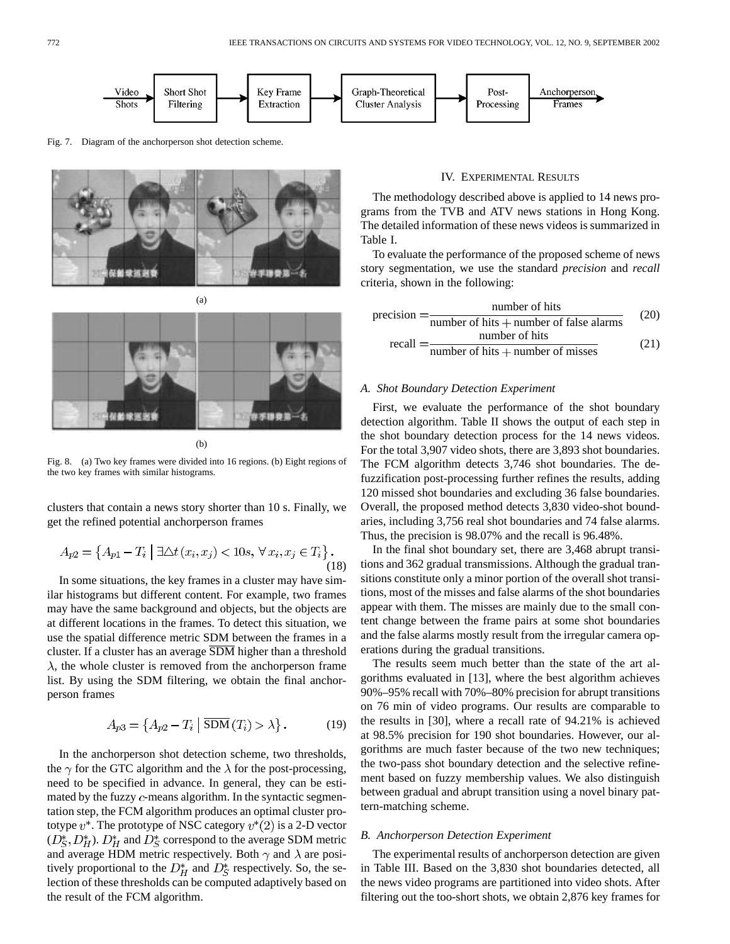

Fig. 7. Diagram of the anchorperson shot detection scheme.





(b)

Fig. 8. (a) Two key frames were divided into 16 regions. (b) Eight regions of the two key frames with similar histograms.

clusters that contain a news story shorter than 10 s. Finally, we get the refined potential anchorperson frames

$$
A_{p2} = \{ A_{p1} - T_i \mid \exists \triangle t (x_i, x_j) < 10s, \,\forall \, x_i, x_j \in T_i \} \,. \tag{18}
$$

In some situations, the key frames in a cluster may have similar histograms but different content. For example, two frames may have the same background and objects, but the objects are at different locations in the frames. To detect this situation, we use the spatial difference metric SDM between the frames in a cluster. If a cluster has an average  $\overline{SDM}$  higher than a threshold  $\lambda$ , the whole cluster is removed from the anchorperson frame list. By using the SDM filtering, we obtain the final anchorperson frames

$$
A_{p3} = \left\{ A_{p2} - T_i \mid \overline{\text{SDM}}(T_i) > \lambda \right\}.
$$
 (19)

In the anchorperson shot detection scheme, two thresholds, the  $\gamma$  for the GTC algorithm and the  $\lambda$  for the post-processing, need to be specified in advance. In general, they can be estimated by the fuzzy  $c$ -means algorithm. In the syntactic segmentation step, the FCM algorithm produces an optimal cluster prototype  $v^*$ . The prototype of NSC category  $v^*(2)$  is a 2-D vector  $(D_S^*, D_H^*)$ .  $D_H^*$  and  $D_S^*$  correspond to the average SDM metric and average HDM metric respectively. Both  $\gamma$  and  $\lambda$  are positively proportional to the  $D_H^*$  and  $D_S^*$  respectively. So, the selection of these thresholds can be computed adaptively based on the result of the FCM algorithm.

# IV. EXPERIMENTAL RESULTS

The methodology described above is applied to 14 news programs from the TVB and ATV news stations in Hong Kong. The detailed information of these news videos is summarized in Table I.

To evaluate the performance of the proposed scheme of news story segmentation, we use the standard *precision* and *recall* criteria, shown in the following:

$$
precision = \frac{number of hits}{number of hits + number of false alarms}
$$
 (20)  
recall = 
$$
\frac{number of hits}{number of hits + number of misses}
$$
 (21)

## *A. Shot Boundary Detection Experiment*

First, we evaluate the performance of the shot boundary detection algorithm. Table II shows the output of each step in the shot boundary detection process for the 14 news videos. For the total 3,907 video shots, there are 3,893 shot boundaries. The FCM algorithm detects 3,746 shot boundaries. The defuzzification post-processing further refines the results, adding 120 missed shot boundaries and excluding 36 false boundaries. Overall, the proposed method detects 3,830 video-shot boundaries, including 3,756 real shot boundaries and 74 false alarms. Thus, the precision is 98.07% and the recall is 96.48%.

In the final shot boundary set, there are 3,468 abrupt transitions and 362 gradual transmissions. Although the gradual transitions constitute only a minor portion of the overall shot transitions, most of the misses and false alarms of the shot boundaries appear with them. The misses are mainly due to the small content change between the frame pairs at some shot boundaries and the false alarms mostly result from the irregular camera operations during the gradual transitions.

The results seem much better than the state of the art algorithms evaluated in [13], where the best algorithm achieves 90%–95% recall with 70%–80% precision for abrupt transitions on 76 min of video programs. Our results are comparable to the results in [30], where a recall rate of 94.21% is achieved at 98.5% precision for 190 shot boundaries. However, our algorithms are much faster because of the two new techniques; the two-pass shot boundary detection and the selective refinement based on fuzzy membership values. We also distinguish between gradual and abrupt transition using a novel binary pattern-matching scheme.

#### *B. Anchorperson Detection Experiment*

The experimental results of anchorperson detection are given in Table III. Based on the 3,830 shot boundaries detected, all the news video programs are partitioned into video shots. After filtering out the too-short shots, we obtain 2,876 key frames for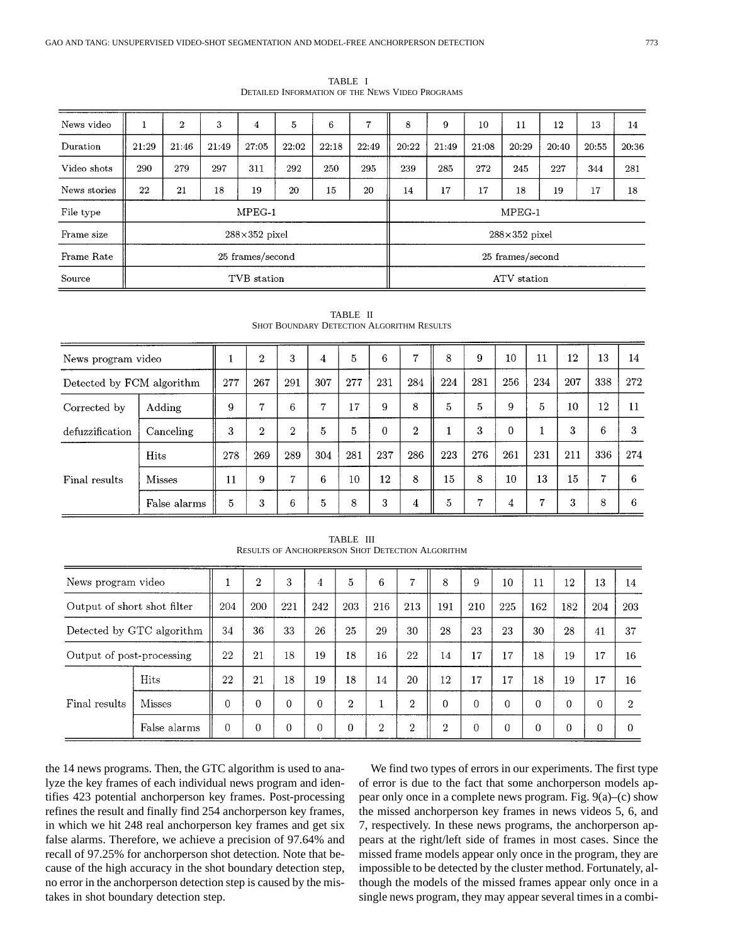| News video   | $\mathbf{r}$         | $\overline{2}$ | 3     | 4                | 5     | 6     | 7                | 8     | 9                    | 10    | 11    | 12    | 13    | 14    |  |  |  |
|--------------|----------------------|----------------|-------|------------------|-------|-------|------------------|-------|----------------------|-------|-------|-------|-------|-------|--|--|--|
| Duration     | 21:29                | 21:46          | 21:49 | 27:05            | 22:02 | 22:18 | 22:49            | 20:22 | 21:49                | 21:08 | 20:29 | 20:40 | 20:55 | 20:36 |  |  |  |
| Video shots  | 290                  | 279            | 297   | 311              | 292   | 250   | 295              | 239   | 285                  | 272   | 245   | 227   | 344   | 281   |  |  |  |
| News stories | 22                   | 21             | 18    | 19               | 20    | 15    | 20               | 14    | 17                   | 17    | 18    | 19    | 17    | 18    |  |  |  |
| File type    |                      |                |       | $MPEG-1$         |       |       | $MPEG-1$         |       |                      |       |       |       |       |       |  |  |  |
| Frame size   | $288\times352$ pixel |                |       |                  |       |       |                  |       | $288\times352$ pixel |       |       |       |       |       |  |  |  |
| Frame Rate   |                      |                |       | 25 frames/second |       |       | 25 frames/second |       |                      |       |       |       |       |       |  |  |  |
| Source       | TVB station          |                |       |                  |       |       |                  |       | ATV station          |       |       |       |       |       |  |  |  |

TABLE I DETAILED INFORMATION OF THE NEWS VIDEO PROGRAMS

| News program video        |               | $\overline{2}$ | 3              | 4            | 5   | 6   | 7        | 8              | 9   | 10  | 11       | 12             | 13  | 14  |     |
|---------------------------|---------------|----------------|----------------|--------------|-----|-----|----------|----------------|-----|-----|----------|----------------|-----|-----|-----|
| Detected by FCM algorithm |               | 277            | 267            | 291          | 307 | 277 | 231      | 284            | 224 | 281 | 256      | 234            | 207 | 338 | 272 |
| Corrected by              | Adding        | 9              | 7              | 6            | 7   | 17  | 9        | 8              | 5   | 5   | 9        | 5              | 10  | 12  | 11  |
| defuzzification           | Canceling     | 3              | $\overline{2}$ | $\mathbf{2}$ | 5   | 5   | $\Omega$ | $\overline{2}$ |     | 3   | $\Omega$ |                | 3   | 6   | 3   |
|                           | Hits          | 278            | 269            | 289          | 304 | 281 | 237      | 286            | 223 | 276 | 261      | 231            | 211 | 336 | 274 |
| Final results             | <b>Misses</b> | 11             | 9              | 7            | 6   | 10  | 12       | 8              | 15  | 8   | 10       | 13             | 15  | 7   | 6   |
|                           | False alarms  | 5              | 3              | 6            | 5   | 8   | 3        | 4              | 5   | 7   | 4        | $\overline{7}$ | 3   | 8   | 6   |

TABLE II SHOT BOUNDARY DETECTION ALGORITHM RESULTS

| <b>RESULTS OF ANCHORPERSON SHOT DETECTION ALGORITHM</b> |               |                |            |     |          |                |                |                |          |          |          |          |     |     |     |
|---------------------------------------------------------|---------------|----------------|------------|-----|----------|----------------|----------------|----------------|----------|----------|----------|----------|-----|-----|-----|
| News program video                                      |               | $\overline{2}$ | 3          | 4   | 5        | 6              | *              | 8              | 9        | 10       | 11       | $12 \,$  | 13  | 14  |     |
| Output of short shot filter                             |               | 204            | <b>200</b> | 221 | 242      | 203            | 216            | 213            | 191      | 210      | 225      | 162      | 182 | 204 | 203 |
| Detected by GTC algorithm                               |               | 34             | 36         | 33  | 26       | 25             | 29             | 30             | 28       | 23       | 23       | 30       | 28  | 41  | 37  |
| Output of post-processing                               |               | 22             | 21         | 18  | 19       | 18             | 16             | 22             | 14       | 17       | 17       | 18       | 19  | 17  | 16  |
| Final results                                           | Hits          | 22             | 21         | 18  | 19       | 18             | 14             | 20             | 12       | 17       | 17       | 18       | 19  | 17  | 16  |
|                                                         | <b>Misses</b> | 0              | $\Omega$   | 0   | $\Omega$ | $\overline{2}$ |                | $\overline{2}$ | $\Omega$ | $\Omega$ | $\Omega$ | $\Omega$ | 0   | 0   | 2   |
|                                                         | False alarms  | 0              | 0          | 0   | $\Omega$ | $\Omega$       | $\overline{2}$ | $\overline{2}$ | 2        | 0        | 0        | 0        | U   |     | N   |

TABLE III

the 14 news programs. Then, the GTC algorithm is used to analyze the key frames of each individual news program and identifies 423 potential anchorperson key frames. Post-processing refines the result and finally find 254 anchorperson key frames, in which we hit 248 real anchorperson key frames and get six false alarms. Therefore, we achieve a precision of 97.64% and recall of 97.25% for anchorperson shot detection. Note that because of the high accuracy in the shot boundary detection step, no error in the anchorperson detection step is caused by the mistakes in shot boundary detection step.

We find two types of errors in our experiments. The first type of error is due to the fact that some anchorperson models appear only once in a complete news program. Fig. 9(a)–(c) show the missed anchorperson key frames in news videos 5, 6, and 7, respectively. In these news programs, the anchorperson appears at the right/left side of frames in most cases. Since the missed frame models appear only once in the program, they are impossible to be detected by the cluster method. Fortunately, although the models of the missed frames appear only once in a single news program, they may appear several times in a combi-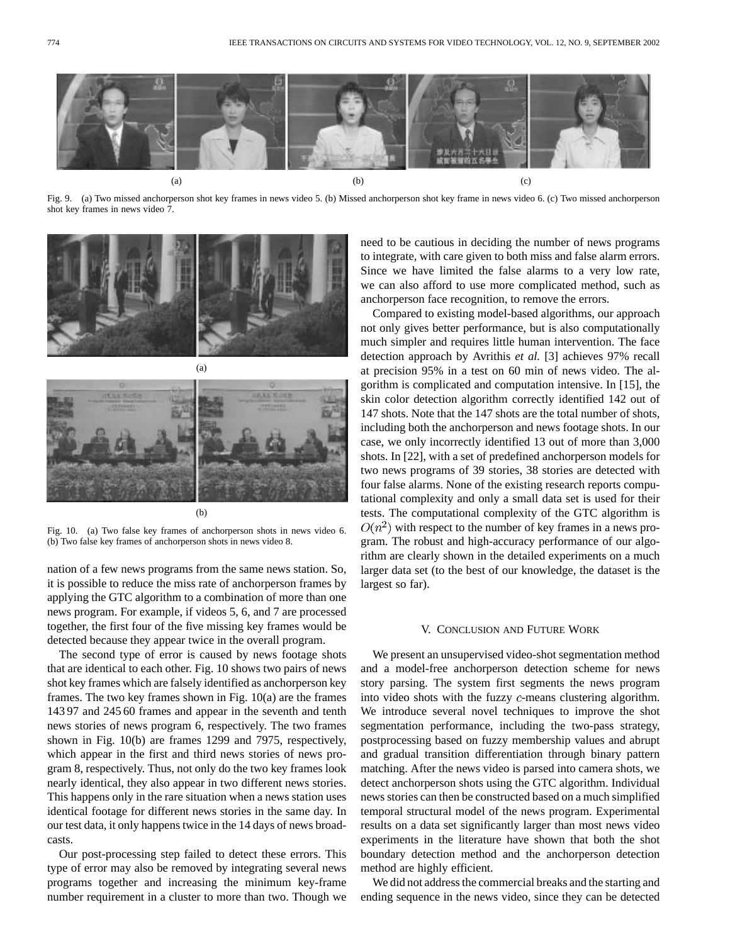

Fig. 9. (a) Two missed anchorperson shot key frames in news video 5. (b) Missed anchorperson shot key frame in news video 6. (c) Two missed anchorperson shot key frames in news video 7.





(b)

Fig. 10. (a) Two false key frames of anchorperson shots in news video 6. (b) Two false key frames of anchorperson shots in news video 8.

nation of a few news programs from the same news station. So, it is possible to reduce the miss rate of anchorperson frames by applying the GTC algorithm to a combination of more than one news program. For example, if videos 5, 6, and 7 are processed together, the first four of the five missing key frames would be detected because they appear twice in the overall program.

The second type of error is caused by news footage shots that are identical to each other. Fig. 10 shows two pairs of news shot key frames which are falsely identified as anchorperson key frames. The two key frames shown in Fig. 10(a) are the frames 143 97 and 245 60 frames and appear in the seventh and tenth news stories of news program 6, respectively. The two frames shown in Fig. 10(b) are frames 1299 and 7975, respectively, which appear in the first and third news stories of news program 8, respectively. Thus, not only do the two key frames look nearly identical, they also appear in two different news stories. This happens only in the rare situation when a news station uses identical footage for different news stories in the same day. In our test data, it only happens twice in the 14 days of news broadcasts.

Our post-processing step failed to detect these errors. This type of error may also be removed by integrating several news programs together and increasing the minimum key-frame number requirement in a cluster to more than two. Though we need to be cautious in deciding the number of news programs to integrate, with care given to both miss and false alarm errors. Since we have limited the false alarms to a very low rate, we can also afford to use more complicated method, such as anchorperson face recognition, to remove the errors.

Compared to existing model-based algorithms, our approach not only gives better performance, but is also computationally much simpler and requires little human intervention. The face detection approach by Avrithis *et al.* [3] achieves 97% recall at precision 95% in a test on 60 min of news video. The algorithm is complicated and computation intensive. In [15], the skin color detection algorithm correctly identified 142 out of 147 shots. Note that the 147 shots are the total number of shots, including both the anchorperson and news footage shots. In our case, we only incorrectly identified 13 out of more than 3,000 shots. In [22], with a set of predefined anchorperson models for two news programs of 39 stories, 38 stories are detected with four false alarms. None of the existing research reports computational complexity and only a small data set is used for their tests. The computational complexity of the GTC algorithm is  $O(n^2)$  with respect to the number of key frames in a news program. The robust and high-accuracy performance of our algorithm are clearly shown in the detailed experiments on a much larger data set (to the best of our knowledge, the dataset is the largest so far).

## V. CONCLUSION AND FUTURE WORK

We present an unsupervised video-shot segmentation method and a model-free anchorperson detection scheme for news story parsing. The system first segments the news program into video shots with the fuzzy  $c$ -means clustering algorithm. We introduce several novel techniques to improve the shot segmentation performance, including the two-pass strategy, postprocessing based on fuzzy membership values and abrupt and gradual transition differentiation through binary pattern matching. After the news video is parsed into camera shots, we detect anchorperson shots using the GTC algorithm. Individual news stories can then be constructed based on a much simplified temporal structural model of the news program. Experimental results on a data set significantly larger than most news video experiments in the literature have shown that both the shot boundary detection method and the anchorperson detection method are highly efficient.

We did not address the commercial breaks and the starting and ending sequence in the news video, since they can be detected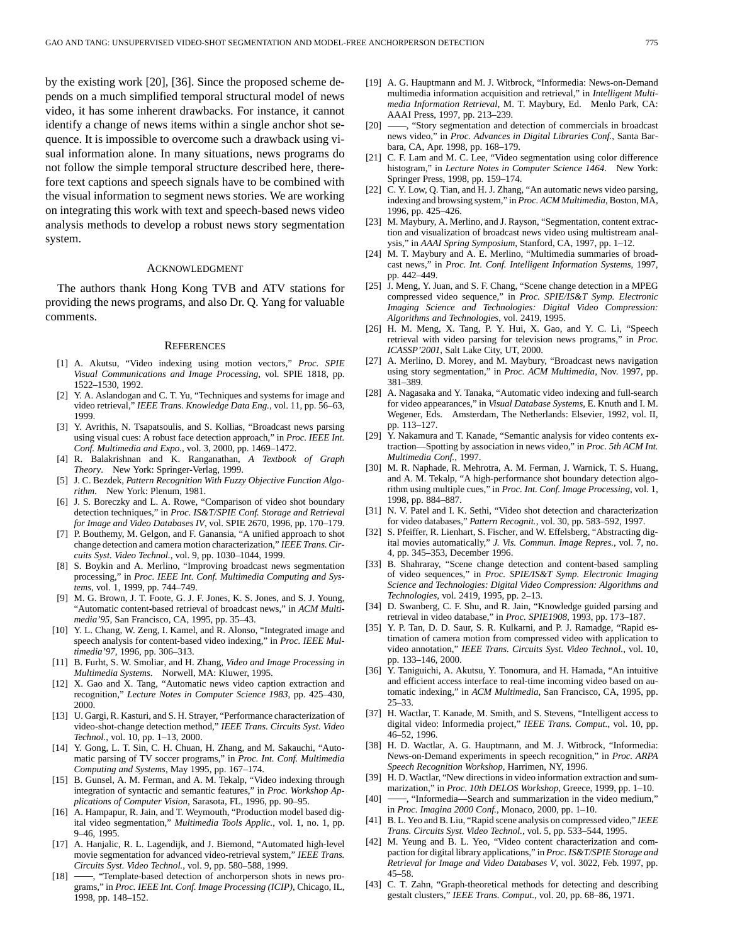by the existing work [20], [36]. Since the proposed scheme depends on a much simplified temporal structural model of news video, it has some inherent drawbacks. For instance, it cannot identify a change of news items within a single anchor shot sequence. It is impossible to overcome such a drawback using visual information alone. In many situations, news programs do not follow the simple temporal structure described here, therefore text captions and speech signals have to be combined with the visual information to segment news stories. We are working on integrating this work with text and speech-based news video analysis methods to develop a robust news story segmentation system.

## ACKNOWLEDGMENT

The authors thank Hong Kong TVB and ATV stations for providing the news programs, and also Dr. Q. Yang for valuable comments.

#### **REFERENCES**

- [1] A. Akutsu, "Video indexing using motion vectors," *Proc. SPIE Visual Communications and Image Processing*, vol. SPIE 1818, pp. 1522–1530, 1992.
- [2] Y. A. Aslandogan and C. T. Yu, "Techniques and systems for image and video retrieval," *IEEE Trans. Knowledge Data Eng.*, vol. 11, pp. 56–63, 1999.
- [3] Y. Avrithis, N. Tsapatsoulis, and S. Kollias, "Broadcast news parsing using visual cues: A robust face detection approach," in *Proc. IEEE Int. Conf. Multimedia and Expo.*, vol. 3, 2000, pp. 1469–1472.
- [4] R. Balakrishnan and K. Ranganathan, *A Textbook of Graph Theory*. New York: Springer-Verlag, 1999.
- [5] J. C. Bezdek, *Pattern Recognition With Fuzzy Objective Function Algorithm*. New York: Plenum, 1981.
- [6] J. S. Boreczky and L. A. Rowe, "Comparison of video shot boundary detection techniques," in *Proc. IS&T/SPIE Conf. Storage and Retrieval for Image and Video Databases IV*, vol. SPIE 2670, 1996, pp. 170–179.
- [7] P. Bouthemy, M. Gelgon, and F. Ganansia, "A unified approach to shot change detection and camera motion characterization," *IEEE Trans. Circuits Syst. Video Technol.*, vol. 9, pp. 1030–1044, 1999.
- [8] S. Boykin and A. Merlino, "Improving broadcast news segmentation processing," in *Proc. IEEE Int. Conf. Multimedia Computing and Systems*, vol. 1, 1999, pp. 744–749.
- [9] M. G. Brown, J. T. Foote, G. J. F. Jones, K. S. Jones, and S. J. Young, "Automatic content-based retrieval of broadcast news," in *ACM Multimedia'95*, San Francisco, CA, 1995, pp. 35–43.
- [10] Y. L. Chang, W. Zeng, I. Kamel, and R. Alonso, "Integrated image and speech analysis for content-based video indexing," in *Proc. IEEE Multimedia'97*, 1996, pp. 306–313.
- [11] B. Furht, S. W. Smoliar, and H. Zhang, *Video and Image Processing in Multimedia Systems*. Norwell, MA: Kluwer, 1995.
- [12] X. Gao and X. Tang, "Automatic news video caption extraction and recognition," *Lecture Notes in Computer Science 1983*, pp. 425–430, 2000.
- [13] U. Gargi, R. Kasturi, and S. H. Strayer, "Performance characterization of video-shot-change detection method," *IEEE Trans. Circuits Syst. Video Technol.*, vol. 10, pp. 1–13, 2000.
- [14] Y. Gong, L. T. Sin, C. H. Chuan, H. Zhang, and M. Sakauchi, "Automatic parsing of TV soccer programs," in *Proc. Int. Conf. Multimedia Computing and Systems*, May 1995, pp. 167–174.
- [15] B. Gunsel, A. M. Ferman, and A. M. Tekalp, "Video indexing through integration of syntactic and semantic features," in *Proc. Workshop Applications of Computer Vision*, Sarasota, FL, 1996, pp. 90–95.
- [16] A. Hampapur, R. Jain, and T. Weymouth, "Production model based digital video segmentation," *Multimedia Tools Applic.*, vol. 1, no. 1, pp. 9–46, 1995.
- [17] A. Hanjalic, R. L. Lagendijk, and J. Biemond, "Automated high-level movie segmentation for advanced video-retrieval system," *IEEE Trans. Circuits Syst. Video Technol.*, vol. 9, pp. 580–588, 1999.
- [18]  $\longrightarrow$ , "Template-based detection of anchorperson shots in news programs," in *Proc. IEEE Int. Conf. Image Processing (ICIP)*, Chicago, IL, 1998, pp. 148–152.
- [19] A. G. Hauptmann and M. J. Witbrock, "Informedia: News-on-Demand multimedia information acquisition and retrieval," in *Intelligent Multimedia Information Retrieval*, M. T. Maybury, Ed. Menlo Park, CA: AAAI Press, 1997, pp. 213–239.
- [20]  $\rightarrow$ , "Story segmentation and detection of commercials in broadcast news video," in *Proc. Advances in Digital Libraries Conf.*, Santa Barbara, CA, Apr. 1998, pp. 168–179.
- [21] C. F. Lam and M. C. Lee, "Video segmentation using color difference histogram," in *Lecture Notes in Computer Science 1464*. New York: Springer Press, 1998, pp. 159–174.
- [22] C. Y. Low, Q. Tian, and H. J. Zhang, "An automatic news video parsing, indexing and browsing system," in *Proc. ACM Multimedia*, Boston, MA, 1996, pp. 425–426.
- [23] M. Maybury, A. Merlino, and J. Rayson, "Segmentation, content extraction and visualization of broadcast news video using multistream analysis," in *AAAI Spring Symposium*, Stanford, CA, 1997, pp. 1–12.
- [24] M. T. Maybury and A. E. Merlino, "Multimedia summaries of broadcast news," in *Proc. Int. Conf. Intelligent Information Systems*, 1997, pp. 442–449.
- [25] J. Meng, Y. Juan, and S. F. Chang, "Scene change detection in a MPEG compressed video sequence," in *Proc. SPIE/IS&T Symp. Electronic Imaging Science and Technologies: Digital Video Compression: Algorithms and Technologies*, vol. 2419, 1995.
- [26] H. M. Meng, X. Tang, P. Y. Hui, X. Gao, and Y. C. Li, "Speech retrieval with video parsing for television news programs," in *Proc. ICASSP'2001*, Salt Lake City, UT, 2000.
- [27] A. Merlino, D. Morey, and M. Maybury, "Broadcast news navigation using story segmentation," in *Proc. ACM Multimedia*, Nov. 1997, pp. 381–389.
- [28] A. Nagasaka and Y. Tanaka, "Automatic video indexing and full-search for video appearances," in *Visual Database Systems*, E. Knuth and I. M. Wegener, Eds. Amsterdam, The Netherlands: Elsevier, 1992, vol. II, pp. 113–127.
- [29] Y. Nakamura and T. Kanade, "Semantic analysis for video contents extraction—Spotting by association in news video," in *Proc. 5th ACM Int. Multimedia Conf.*, 1997.
- [30] M. R. Naphade, R. Mehrotra, A. M. Ferman, J. Warnick, T. S. Huang, and A. M. Tekalp, "A high-performance shot boundary detection algorithm using multiple cues," in *Proc. Int. Conf. Image Processing*, vol. 1, 1998, pp. 884–887.
- [31] N. V. Patel and I. K. Sethi, "Video shot detection and characterization for video databases," *Pattern Recognit.*, vol. 30, pp. 583–592, 1997.
- [32] S. Pfeiffer, R. Lienhart, S. Fischer, and W. Effelsberg, "Abstracting digital movies automatically," *J. Vis. Commun. Image Repres.*, vol. 7, no. 4, pp. 345–353, December 1996.
- [33] B. Shahraray, "Scene change detection and content-based sampling of video sequences," in *Proc. SPIE/IS&T Symp. Electronic Imaging Science and Technologies: Digital Video Compression: Algorithms and Technologies*, vol. 2419, 1995, pp. 2–13.
- [34] D. Swanberg, C. F. Shu, and R. Jain, "Knowledge guided parsing and retrieval in video database," in *Proc. SPIE1908*, 1993, pp. 173–187.
- [35] Y. P. Tan, D. D. Saur, S. R. Kulkarni, and P. J. Ramadge, "Rapid estimation of camera motion from compressed video with application to video annotation," *IEEE Trans. Circuits Syst. Video Technol.*, vol. 10, pp. 133–146, 2000.
- [36] Y. Taniguichi, A. Akutsu, Y. Tonomura, and H. Hamada, "An intuitive and efficient access interface to real-time incoming video based on automatic indexing," in *ACM Multimedia*, San Francisco, CA, 1995, pp. 25–33.
- [37] H. Wactlar, T. Kanade, M. Smith, and S. Stevens, "Intelligent access to digital video: Informedia project," *IEEE Trans. Comput.*, vol. 10, pp. 46–52, 1996.
- [38] H. D. Wactlar, A. G. Hauptmann, and M. J. Witbrock, "Informedia: News-on-Demand experiments in speech recognition," in *Proc. ARPA Speech Recognition Workshop*, Harrimen, NY, 1996.
- [39] H. D. Wactlar, "New directions in video information extraction and summarization," in *Proc. 10th DELOS Workshop*, Greece, 1999, pp. 1–10.
- -, "Informedia—Search and summarization in the video medium," in *Proc. Imagina 2000 Conf.*, Monaco, 2000, pp. 1–10.
- [41] B. L. Yeo and B. Liu, "Rapid scene analysis on compressed video," *IEEE Trans. Circuits Syst. Video Technol.*, vol. 5, pp. 533–544, 1995.
- [42] M. Yeung and B. L. Yeo, "Video content characterization and compaction for digital library applications," in *Proc. IS&T/SPIE Storage and Retrieval for Image and Video Databases V*, vol. 3022, Feb. 1997, pp. 45–58.
- [43] C. T. Zahn, "Graph-theoretical methods for detecting and describing gestalt clusters," *IEEE Trans. Comput.*, vol. 20, pp. 68–86, 1971.